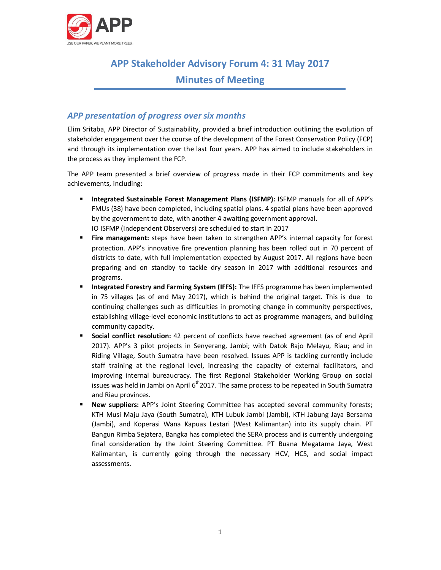

# **APP Stakeholder Advisory Forum 4: 31 May 2017**

# **Minutes of Meeting**

## *APP presentation of progress over six months*

Elim Sritaba, APP Director of Sustainability, provided a brief introduction outlining the evolution of stakeholder engagement over the course of the development of the Forest Conservation Policy (FCP) and through its implementation over the last four years. APP has aimed to include stakeholders in the process as they implement the FCP.

The APP team presented a brief overview of progress made in their FCP commitments and key achievements, including:

- **EXECT Integrated Sustainable Forest Management Plans (ISFMP):** ISFMP manuals for all of APP's FMUs (38) have been completed, including spatial plans. 4 spatial plans have been approved by the government to date, with another 4 awaiting government approval. IO ISFMP (Independent Observers) are scheduled to start in 2017
- **Fire management:** steps have been taken to strengthen APP's internal capacity for forest protection. APP's innovative fire prevention planning has been rolled out in 70 percent of districts to date, with full implementation expected by August 2017. All regions have been preparing and on standby to tackle dry season in 2017 with additional resources and programs.
- **EXED Integrated Forestry and Farming System (IFFS):** The IFFS programme has been implemented in 75 villages (as of end May 2017), which is behind the original target. This is due to continuing challenges such as difficulties in promoting change in community perspectives, establishing village-level economic institutions to act as programme managers, and building community capacity.
- **Social conflict resolution:** 42 percent of conflicts have reached agreement (as of end April 2017). APP's 3 pilot projects in Senyerang, Jambi; with Datok Rajo Melayu, Riau; and in Riding Village, South Sumatra have been resolved. Issues APP is tackling currently include staff training at the regional level, increasing the capacity of external facilitators, and improving internal bureaucracy. The first Regional Stakeholder Working Group on social issues was held in Jambi on April  $6<sup>th</sup>2017$ . The same process to be repeated in South Sumatra and Riau provinces.
- ß **New suppliers:** APP's Joint Steering Committee has accepted several community forests; KTH Musi Maju Jaya (South Sumatra), KTH Lubuk Jambi (Jambi), KTH Jabung Jaya Bersama (Jambi), and Koperasi Wana Kapuas Lestari (West Kalimantan) into its supply chain. PT Bangun Rimba Sejatera, Bangka has completed the SERA process and is currently undergoing final consideration by the Joint Steering Committee. PT Buana Megatama Jaya, West Kalimantan, is currently going through the necessary HCV, HCS, and social impact assessments.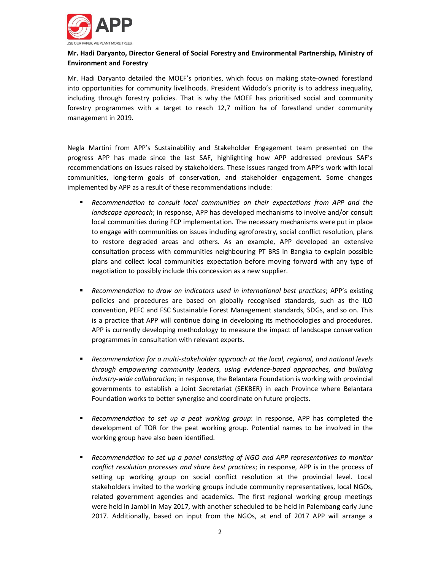

#### **Mr. Hadi Daryanto, Director General of Social Forestry and Environmental Partnership, Ministry of Environment and Forestry**

Mr. Hadi Daryanto detailed the MOEF's priorities, which focus on making state-owned forestland into opportunities for community livelihoods. President Widodo's priority is to address inequality, including through forestry policies. That is why the MOEF has prioritised social and community forestry programmes with a target to reach 12,7 million ha of forestland under community management in 2019.

Negla Martini from APP's Sustainability and Stakeholder Engagement team presented on the progress APP has made since the last SAF, highlighting how APP addressed previous SAF's recommendations on issues raised by stakeholders. These issues ranged from APP's work with local communities, long-term goals of conservation, and stakeholder engagement. Some changes implemented by APP as a result of these recommendations include:

- **B** Recommendation to consult local communities on their expectations from APP and the *landscape approach*; in response, APP has developed mechanisms to involve and/or consult local communities during FCP implementation. The necessary mechanisms were put in place to engage with communities on issues including agroforestry, social conflict resolution, plans to restore degraded areas and others. As an example, APP developed an extensive consultation process with communities neighbouring PT BRS in Bangka to explain possible plans and collect local communities expectation before moving forward with any type of negotiation to possibly include this concession as a new supplier.
- **•** Recommendation to draw on indicators used in international best practices; APP's existing policies and procedures are based on globally recognised standards, such as the ILO convention, PEFC and FSC Sustainable Forest Management standards, SDGs, and so on. This is a practice that APP will continue doing in developing its methodologies and procedures. APP is currently developing methodology to measure the impact of landscape conservation programmes in consultation with relevant experts.
- **B** Recommendation for a multi-stakeholder approach at the local, regional, and national levels *through empowering community leaders, using evidence-based approaches, and building industry-wide collaboration*; in response, the Belantara Foundation is working with provincial governments to establish a Joint Secretariat (SEKBER) in each Province where Belantara Foundation works to better synergise and coordinate on future projects.
- **Recommendation to set up a peat working group:** in response, APP has completed the development of TOR for the peat working group. Potential names to be involved in the working group have also been identified.
- **B** Recommendation to set up a panel consisting of NGO and APP representatives to monitor *conflict resolution processes and share best practices*; in response, APP is in the process of setting up working group on social conflict resolution at the provincial level. Local stakeholders invited to the working groups include community representatives, local NGOs, related government agencies and academics. The first regional working group meetings were held in Jambi in May 2017, with another scheduled to be held in Palembang early June 2017. Additionally, based on input from the NGOs, at end of 2017 APP will arrange a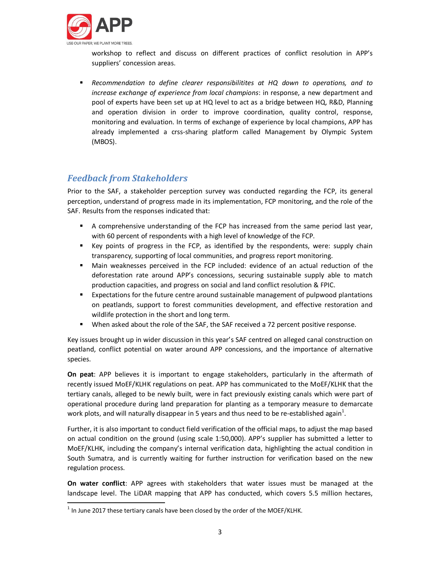

workshop to reflect and discuss on different practices of conflict resolution in APP's suppliers' concession areas.

**Recommendation to define clearer responsibilitites at HQ down to operations, and to** *increase exchange of experience from local champions*: in response, a new department and pool of experts have been set up at HQ level to act as a bridge between HQ, R&D, Planning and operation division in order to improve coordination, quality control, response, monitoring and evaluation. In terms of exchange of experience by local champions, APP has already implemented a crss-sharing platform called Management by Olympic System (MBOS).

# *Feedback from Stakeholders*

Prior to the SAF, a stakeholder perception survey was conducted regarding the FCP, its general perception, understand of progress made in its implementation, FCP monitoring, and the role of the SAF. Results from the responses indicated that:

- ß A comprehensive understanding of the FCP has increased from the same period last year, with 60 percent of respondents with a high level of knowledge of the FCP.
- **EXEY F** Key points of progress in the FCP, as identified by the respondents, were: supply chain transparency, supporting of local communities, and progress report monitoring.
- **•** Main weaknesses perceived in the FCP included: evidence of an actual reduction of the deforestation rate around APP's concessions, securing sustainable supply able to match production capacities, and progress on social and land conflict resolution & FPIC.
- ß Expectations for the future centre around sustainable management of pulpwood plantations on peatlands, support to forest communities development, and effective restoration and wildlife protection in the short and long term.
- **When asked about the role of the SAF, the SAF received a 72 percent positive response.**

Key issues brought up in wider discussion in this year's SAF centred on alleged canal construction on peatland, conflict potential on water around APP concessions, and the importance of alternative species.

**On peat**: APP believes it is important to engage stakeholders, particularly in the aftermath of recently issued MoEF/KLHK regulations on peat. APP has communicated to the MoEF/KLHK that the tertiary canals, alleged to be newly built, were in fact previously existing canals which were part of operational procedure during land preparation for planting as a temporary measure to demarcate work plots, and will naturally disappear in 5 years and thus need to be re-established again<sup>1</sup>.

Further, it is also important to conduct field verification of the official maps, to adjust the map based on actual condition on the ground (using scale 1:50,000). APP's supplier has submitted a letter to MoEF/KLHK, including the company's internal verification data, highlighting the actual condition in South Sumatra, and is currently waiting for further instruction for verification based on the new regulation process.

**On water conflict**: APP agrees with stakeholders that water issues must be managed at the landscape level. The LiDAR mapping that APP has conducted, which covers 5.5 million hectares,

 $<sup>1</sup>$  In June 2017 these tertiary canals have been closed by the order of the MOEF/KLHK.</sup>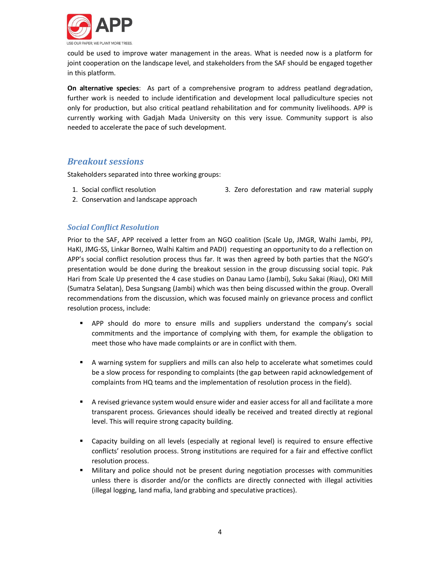

could be used to improve water management in the areas. What is needed now is a platform for joint cooperation on the landscape level, and stakeholders from the SAF should be engaged together in this platform.

**On alternative species**: As part of a comprehensive program to address peatland degradation, further work is needed to include identification and development local palludiculture species not only for production, but also critical peatland rehabilitation and for community livelihoods. APP is currently working with Gadjah Mada University on this very issue. Community support is also needed to accelerate the pace of such development.

## *Breakout sessions*

Stakeholders separated into three working groups:

1. Social conflict resolution

- 3. Zero deforestation and raw material supply
- 2. Conservation and landscape approach

### *Social Conflict Resolution*

Prior to the SAF, APP received a letter from an NGO coalition (Scale Up, JMGR, Walhi Jambi, PPJ, HaKI, JMG-SS, Linkar Borneo, Walhi Kaltim and PADI) requesting an opportunity to do a reflection on APP's social conflict resolution process thus far. It was then agreed by both parties that the NGO's presentation would be done during the breakout session in the group discussing social topic. Pak Hari from Scale Up presented the 4 case studies on Danau Lamo (Jambi), Suku Sakai (Riau), OKI Mill (Sumatra Selatan), Desa Sungsang (Jambi) which was then being discussed within the group. Overall recommendations from the discussion, which was focused mainly on grievance process and conflict resolution process, include:

- **•** APP should do more to ensure mills and suppliers understand the company's social commitments and the importance of complying with them, for example the obligation to meet those who have made complaints or are in conflict with them.
- **A** warning system for suppliers and mills can also help to accelerate what sometimes could be a slow process for responding to complaints (the gap between rapid acknowledgement of complaints from HQ teams and the implementation of resolution process in the field).
- **A** revised grievance system would ensure wider and easier access for all and facilitate a more transparent process. Grievances should ideally be received and treated directly at regional level. This will require strong capacity building.
- **EXP** Capacity building on all levels (especially at regional level) is required to ensure effective conflicts' resolution process. Strong institutions are required for a fair and effective conflict resolution process.
- **IXED Military and police should not be present during negotiation processes with communities** unless there is disorder and/or the conflicts are directly connected with illegal activities (illegal logging, land mafia, land grabbing and speculative practices).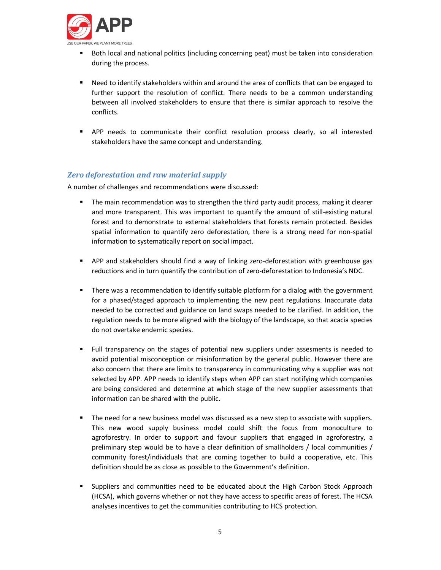

- ß Both local and national politics (including concerning peat) must be taken into consideration during the process.
- **•** Need to identify stakeholders within and around the area of conflicts that can be engaged to further support the resolution of conflict. There needs to be a common understanding between all involved stakeholders to ensure that there is similar approach to resolve the conflicts.
- **P** APP needs to communicate their conflict resolution process clearly, so all interested stakeholders have the same concept and understanding.

#### *Zero deforestation and raw material supply*

A number of challenges and recommendations were discussed:

- **The main recommendation was to strengthen the third party audit process, making it clearer** and more transparent. This was important to quantify the amount of still-existing natural forest and to demonstrate to external stakeholders that forests remain protected. Besides spatial information to quantify zero deforestation, there is a strong need for non-spatial information to systematically report on social impact.
- **•** APP and stakeholders should find a way of linking zero-deforestation with greenhouse gas reductions and in turn quantify the contribution of zero-deforestation to Indonesia's NDC.
- **F** There was a recommendation to identify suitable platform for a dialog with the government for a phased/staged approach to implementing the new peat regulations. Inaccurate data needed to be corrected and guidance on land swaps needed to be clarified. In addition, the regulation needs to be more aligned with the biology of the landscape, so that acacia species do not overtake endemic species.
- ß Full transparency on the stages of potential new suppliers under assesments is needed to avoid potential misconception or misinformation by the general public. However there are also concern that there are limits to transparency in communicating why a supplier was not selected by APP. APP needs to identify steps when APP can start notifying which companies are being considered and determine at which stage of the new supplier assessments that information can be shared with the public.
- The need for a new business model was discussed as a new step to associate with suppliers. This new wood supply business model could shift the focus from monoculture to agroforestry. In order to support and favour suppliers that engaged in agroforestry, a preliminary step would be to have a clear definition of smallholders / local communities / community forest/individuals that are coming together to build a cooperative, etc. This definition should be as close as possible to the Government's definition.
- **Suppliers and communities need to be educated about the High Carbon Stock Approach** (HCSA), which governs whether or not they have access to specific areas of forest. The HCSA analyses incentives to get the communities contributing to HCS protection.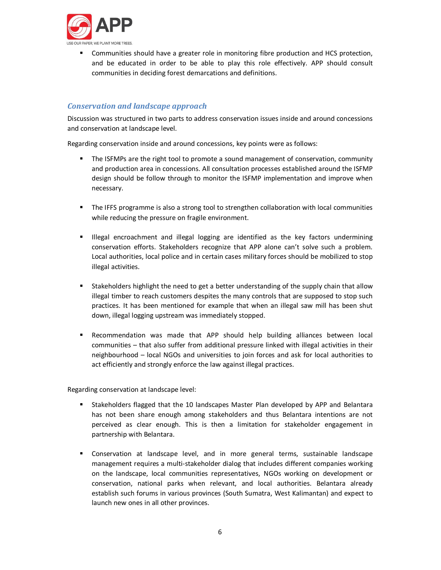

ß Communities should have a greater role in monitoring fibre production and HCS protection, and be educated in order to be able to play this role effectively. APP should consult communities in deciding forest demarcations and definitions.

#### *Conservation and landscape approach*

Discussion was structured in two parts to address conservation issues inside and around concessions and conservation at landscape level.

Regarding conservation inside and around concessions, key points were as follows:

- The ISFMPs are the right tool to promote a sound management of conservation, community and production area in concessions. All consultation processes established around the ISFMP design should be follow through to monitor the ISFMP implementation and improve when necessary.
- **FIGM** The IFFS programme is also a strong tool to strengthen collaboration with local communities while reducing the pressure on fragile environment.
- **EXECT** Illegal encroachment and illegal logging are identified as the key factors undermining conservation efforts. Stakeholders recognize that APP alone can't solve such a problem. Local authorities, local police and in certain cases military forces should be mobilized to stop illegal activities.
- **Stakeholders highlight the need to get a better understanding of the supply chain that allow** illegal timber to reach customers despites the many controls that are supposed to stop such practices. It has been mentioned for example that when an illegal saw mill has been shut down, illegal logging upstream was immediately stopped.
- **EXECOMMENDATION WAS Made that APP should help building alliances between local** communities – that also suffer from additional pressure linked with illegal activities in their neighbourhood – local NGOs and universities to join forces and ask for local authorities to act efficiently and strongly enforce the law against illegal practices.

Regarding conservation at landscape level:

- ß Stakeholders flagged that the 10 landscapes Master Plan developed by APP and Belantara has not been share enough among stakeholders and thus Belantara intentions are not perceived as clear enough. This is then a limitation for stakeholder engagement in partnership with Belantara.
- **EX Conservation at landscape level, and in more general terms, sustainable landscape** management requires a multi-stakeholder dialog that includes different companies working on the landscape, local communities representatives, NGOs working on development or conservation, national parks when relevant, and local authorities. Belantara already establish such forums in various provinces (South Sumatra, West Kalimantan) and expect to launch new ones in all other provinces.